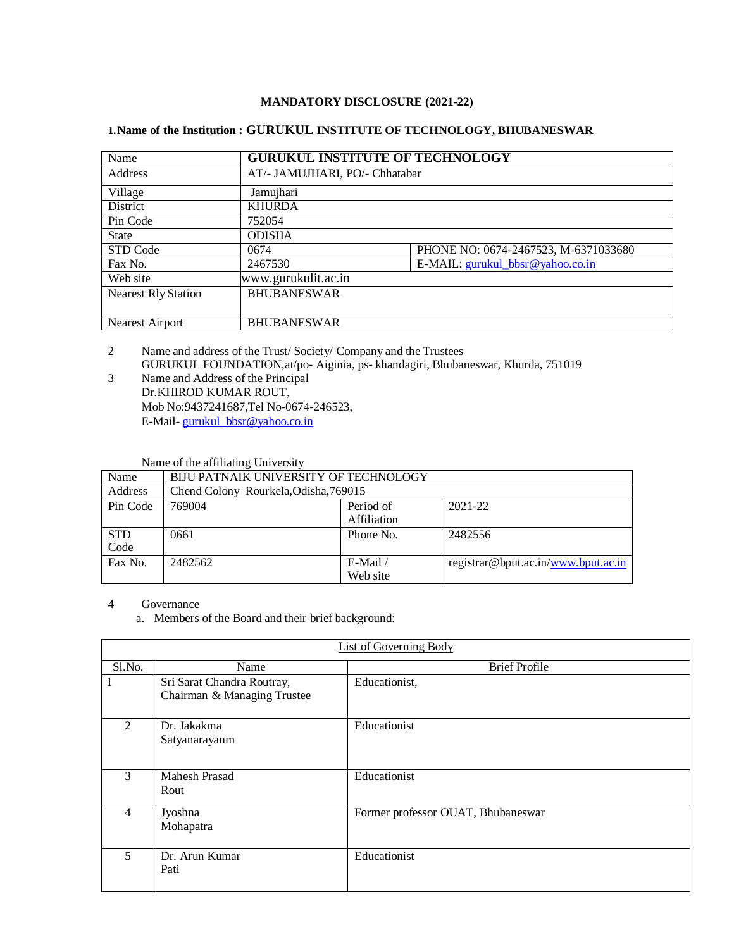# **MANDATORY DISCLOSURE (2021-22)**

# **1.Name of the Institution : GURUKUL INSTITUTE OF TECHNOLOGY, BHUBANESWAR**

| Name                       | <b>GURUKUL INSTITUTE OF TECHNOLOGY</b> |                                      |  |  |  |
|----------------------------|----------------------------------------|--------------------------------------|--|--|--|
| Address                    |                                        | AT/- JAMUJHARI, PO/- Chhatabar       |  |  |  |
| Village                    | Jamujhari                              |                                      |  |  |  |
| District                   | <b>KHURDA</b>                          |                                      |  |  |  |
| Pin Code                   | 752054                                 |                                      |  |  |  |
| <b>State</b>               | <b>ODISHA</b>                          |                                      |  |  |  |
| STD Code                   | 0674                                   | PHONE NO: 0674-2467523, M-6371033680 |  |  |  |
| Fax No.                    | 2467530                                | E-MAIL: gurukul_bbsr@yahoo.co.in     |  |  |  |
| Web site                   | www.gurukulit.ac.in                    |                                      |  |  |  |
| <b>Nearest Rly Station</b> | <b>BHUBANESWAR</b>                     |                                      |  |  |  |
|                            |                                        |                                      |  |  |  |
| Nearest Airport            | <b>BHUBANESWAR</b>                     |                                      |  |  |  |

2 Name and address of the Trust/ Society/ Company and the Trustees GURUKUL FOUNDATION,at/po- Aiginia, ps- khandagiri, Bhubaneswar, Khurda, 751019

3 Name and Address of the Principal Dr.KHIROD KUMAR ROUT, Mob No:9437241687,Tel No-0674-246523, E-Mail- [gurukul\\_bbsr@yahoo.co.in](mailto:director@tts.ac.in)

### Name of the affiliating University

| Name               | BIJU PATNAIK UNIVERSITY OF TECHNOLOGY |                                     |                                     |  |  |  |
|--------------------|---------------------------------------|-------------------------------------|-------------------------------------|--|--|--|
| Address            | Chend Colony Rourkela, Odisha, 769015 |                                     |                                     |  |  |  |
| Pin Code           | 769004                                | Period of<br>2021-22<br>Affiliation |                                     |  |  |  |
| <b>STD</b><br>Code | 0661                                  | Phone No.                           | 2482556                             |  |  |  |
| Fax No.            | 2482562                               | $E$ -Mail /<br>Web site             | registrar@bput.ac.in/www.bput.ac.in |  |  |  |

4 Governance

a. Members of the Board and their brief background:

|                                        | List of Governing Body                                    |                                    |  |  |  |  |  |
|----------------------------------------|-----------------------------------------------------------|------------------------------------|--|--|--|--|--|
| Sl.No.                                 | Name                                                      | <b>Brief Profile</b>               |  |  |  |  |  |
| 1                                      | Sri Sarat Chandra Routray,<br>Chairman & Managing Trustee | Educationist,                      |  |  |  |  |  |
| $\mathfrak{D}$                         | Dr. Jakakma<br>Satyanarayanm                              | Educationist                       |  |  |  |  |  |
| 3                                      | <b>Mahesh Prasad</b><br>Rout                              | Educationist                       |  |  |  |  |  |
| $\overline{4}$<br>Jyoshna<br>Mohapatra |                                                           | Former professor OUAT, Bhubaneswar |  |  |  |  |  |
| 5                                      | Dr. Arun Kumar<br>Pati                                    | Educationist                       |  |  |  |  |  |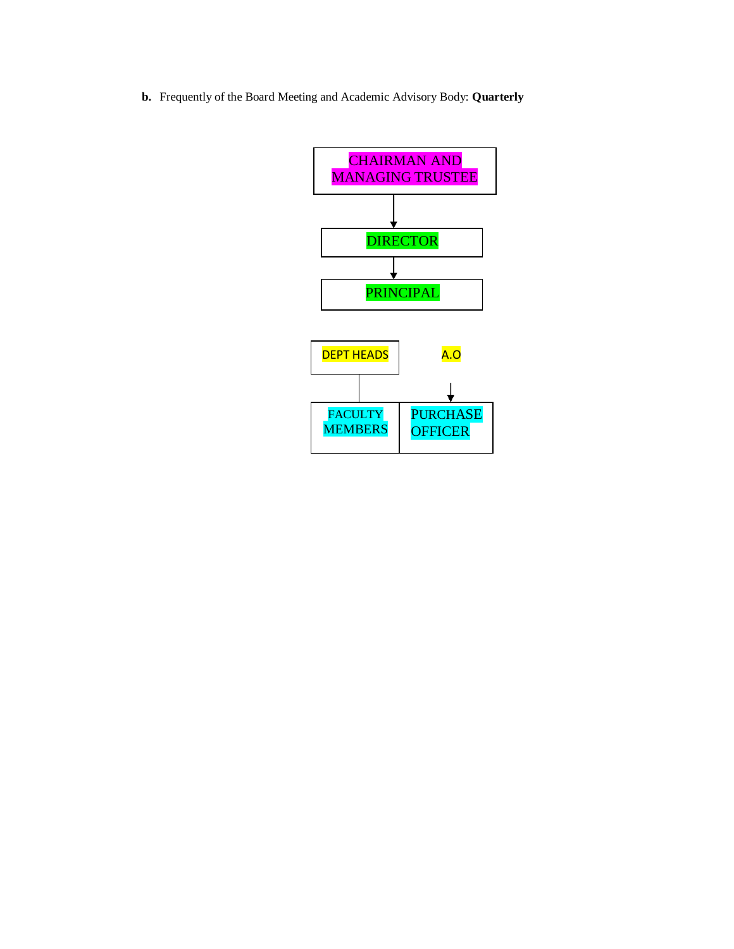**b.** Frequently of the Board Meeting and Academic Advisory Body: **Quarterly**

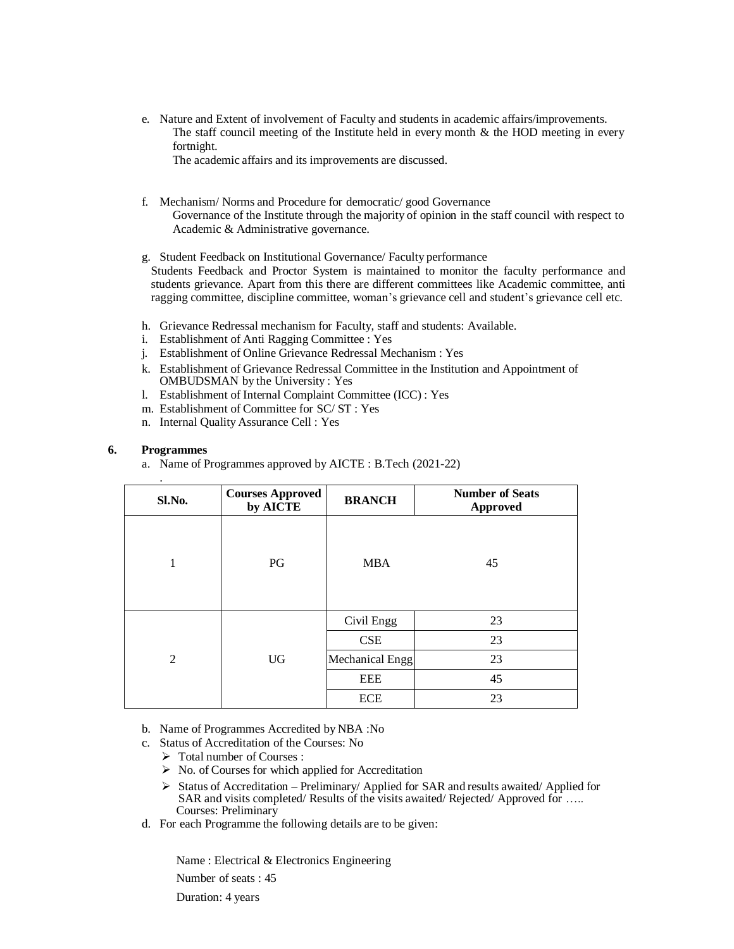e. Nature and Extent of involvement of Faculty and students in academic affairs/improvements. The staff council meeting of the Institute held in every month  $\&$  the HOD meeting in every fortnight.

The academic affairs and its improvements are discussed.

- f. Mechanism/ Norms and Procedure for democratic/ good Governance Governance of the Institute through the majority of opinion in the staff council with respect to Academic & Administrative governance.
- g. Student Feedback on Institutional Governance/ Faculty performance Students Feedback and Proctor System is maintained to monitor the faculty performance and students grievance. Apart from this there are different committees like Academic committee, anti ragging committee, discipline committee, woman's grievance cell and student's grievance cell etc.
- h. Grievance Redressal mechanism for Faculty, staff and students: Available.
- i. Establishment of Anti Ragging Committee : Yes
- j. Establishment of Online Grievance Redressal Mechanism : Yes
- k. Establishment of Grievance Redressal Committee in the Institution and Appointment of OMBUDSMAN by the University : Yes
- l. Establishment of Internal Complaint Committee (ICC) : Yes
- m. Establishment of Committee for SC/ ST : Yes
- n. Internal Quality Assurance Cell : Yes

# **6. Programmes**

a. Name of Programmes approved by AICTE : B.Tech (2021-22)

| ٠<br>Sl.No.    | <b>Courses Approved</b><br>by AICTE | <b>BRANCH</b>   | <b>Number of Seats</b><br><b>Approved</b> |
|----------------|-------------------------------------|-----------------|-------------------------------------------|
| 1              | PG                                  | <b>MBA</b>      | 45                                        |
|                |                                     | Civil Engg      | 23                                        |
|                |                                     | CSE             | 23                                        |
| $\mathfrak{D}$ | <b>UG</b>                           | Mechanical Engg | 23                                        |
|                |                                     | <b>EEE</b>      | 45                                        |
|                |                                     | <b>ECE</b>      | 23                                        |

- b. Name of Programmes Accredited by NBA :No
- c. Status of Accreditation of the Courses: No
	- $\triangleright$  Total number of Courses :
	- $\triangleright$  No. of Courses for which applied for Accreditation
	- $\triangleright$  Status of Accreditation Preliminary/ Applied for SAR and results awaited/ Applied for SAR and visits completed/ Results of the visits awaited/ Rejected/ Approved for ….. Courses: Preliminary
- d. For each Programme the following details are to be given:

Name : Electrical & Electronics Engineering

Number of seats : 45

Duration: 4 years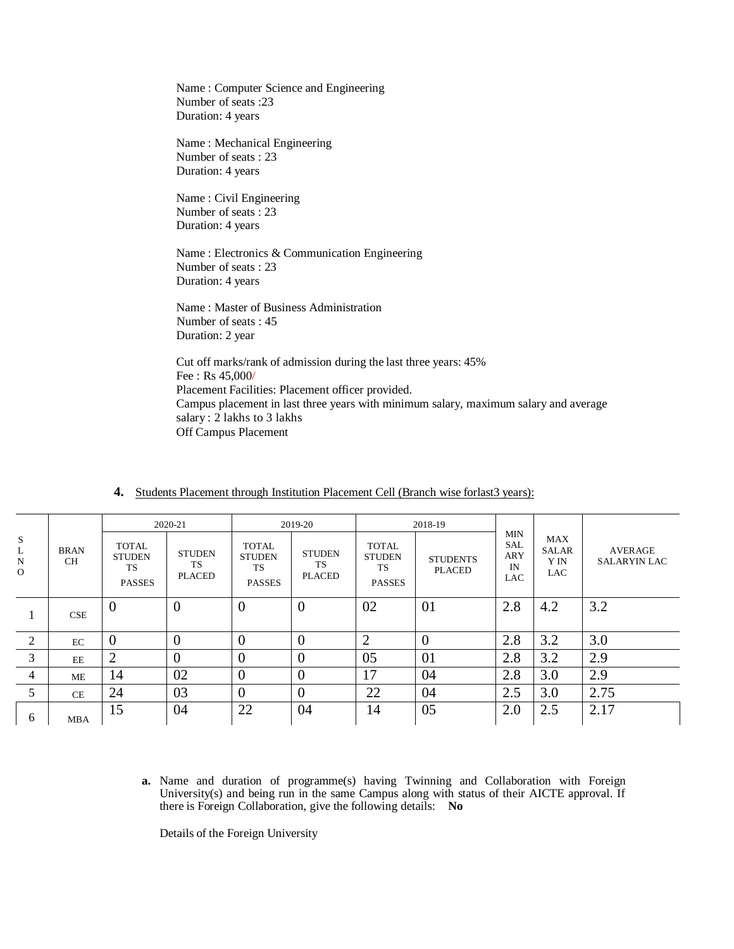Name : Computer Science and Engineering Number of seats :23 Duration: 4 years

Name : Mechanical Engineering Number of seats : 23 Duration: 4 years

Name : Civil Engineering Number of seats : 23 Duration: 4 years

Name : Electronics & Communication Engineering Number of seats : 23 Duration: 4 years

Name : Master of Business Administration Number of seats : 45 Duration: 2 year

Cut off marks/rank of admission during the last three years: 45% Fee : Rs 45,000/ Placement Facilities: Placement officer provided. Campus placement in last three years with minimum salary, maximum salary and average salary : 2 lakhs to 3 lakhs Off Campus Placement

|                  |                          | 2020-21                                                     |                                       | 2019-20                                                     |                                      |                                                             | 2018-19                          |                                                            |                                           |                                       |  |
|------------------|--------------------------|-------------------------------------------------------------|---------------------------------------|-------------------------------------------------------------|--------------------------------------|-------------------------------------------------------------|----------------------------------|------------------------------------------------------------|-------------------------------------------|---------------------------------------|--|
| S<br>L<br>N<br>0 | <b>BRAN</b><br><b>CH</b> | <b>TOTAL</b><br><b>STUDEN</b><br><b>TS</b><br><b>PASSES</b> | <b>STUDEN</b><br>TS.<br><b>PLACED</b> | <b>TOTAL</b><br><b>STUDEN</b><br><b>TS</b><br><b>PASSES</b> | <b>STUDEN</b><br>TS<br><b>PLACED</b> | <b>TOTAL</b><br><b>STUDEN</b><br><b>TS</b><br><b>PASSES</b> | <b>STUDENTS</b><br><b>PLACED</b> | <b>MIN</b><br><b>SAL</b><br><b>ARY</b><br>IN<br><b>LAC</b> | MAX<br><b>SALAR</b><br>Y IN<br><b>LAC</b> | <b>AVERAGE</b><br><b>SALARYIN LAC</b> |  |
|                  | <b>CSE</b>               | $\overline{0}$                                              | $\overline{0}$                        | $\overline{0}$                                              | $\overline{0}$                       | 02                                                          | 01                               | 2.8                                                        | 4.2                                       | 3.2                                   |  |
| 2                | EC                       | $\overline{0}$                                              | U                                     | $\overline{0}$                                              | $\overline{0}$                       | $\overline{2}$                                              | $\overline{0}$                   | 2.8                                                        | 3.2                                       | 3.0                                   |  |
| 3                | EE                       | $\overline{2}$                                              | 0                                     | $\overline{0}$                                              | $\overline{0}$                       | 05                                                          | 01                               | 2.8                                                        | 3.2                                       | 2.9                                   |  |
| $\overline{4}$   | ME                       | 14                                                          | 02                                    | $\overline{0}$                                              | $\overline{0}$                       | 17                                                          | 04                               | 2.8                                                        | 3.0                                       | 2.9                                   |  |
| 5                | <b>CE</b>                | 24                                                          | 03                                    | $\overline{0}$                                              | $\overline{0}$                       | 22                                                          | 04                               | 2.5                                                        | 3.0                                       | 2.75                                  |  |
| 6                | <b>MBA</b>               | 15                                                          | 04                                    | 22                                                          | 04                                   | 14                                                          | 05                               | 2.0                                                        | 2.5                                       | 2.17                                  |  |

# **4.** Students Placement through Institution Placement Cell (Branch wise forlast3 years):

**a.** Name and duration of programme(s) having Twinning and Collaboration with Foreign University(s) and being run in the same Campus along with status of their AICTE approval. If there is Foreign Collaboration, give the following details: **No**

Details of the Foreign University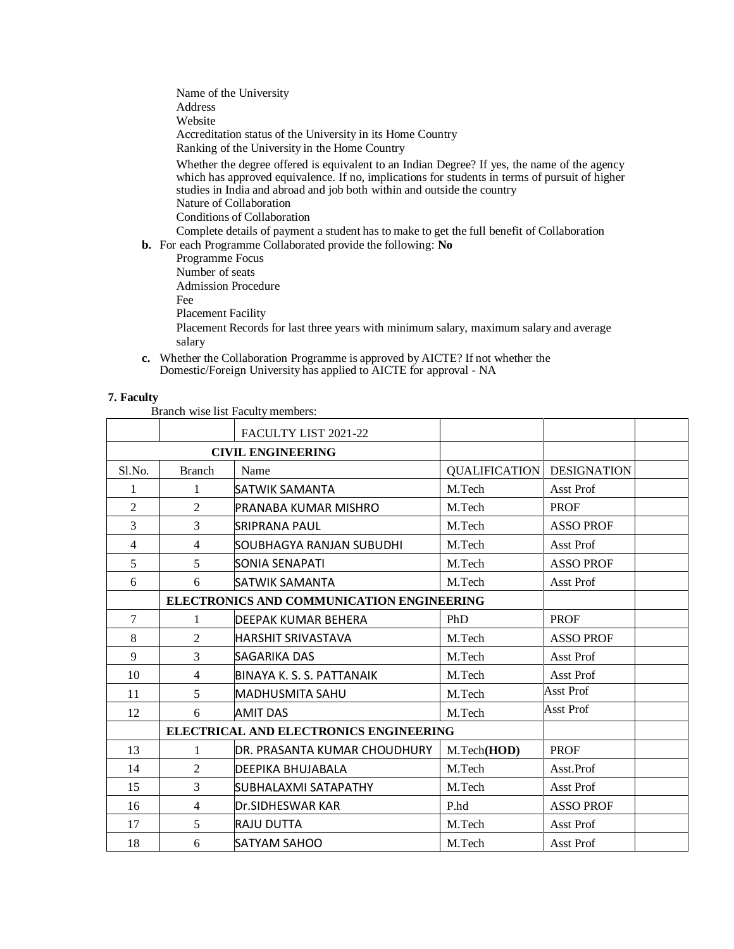Name of the University Address Website Accreditation status of the University in its Home Country Ranking of the University in the Home Country Whether the degree offered is equivalent to an Indian Degree? If yes, the name of the agency which has approved equivalence. If no, implications for students in terms of pursuit of higher studies in India and abroad and job both within and outside the country Nature of Collaboration Conditions of Collaboration Complete details of payment a student has to make to get the full benefit of Collaboration

**b.** For each Programme Collaborated provide the following: **No**

| each Trogramme condoorated provide the following. The                                            |
|--------------------------------------------------------------------------------------------------|
| Programme Focus                                                                                  |
| Number of seats                                                                                  |
| <b>Admission Procedure</b>                                                                       |
| Fee                                                                                              |
| Placement Facility                                                                               |
| Placement Records for last three years with minimum salary, maximum salary and average<br>salary |
|                                                                                                  |

**c.** Whether the Collaboration Programme is approved by AICTE? If not whether the Domestic/Foreign University has applied to AICTE for approval - NA

# **7. Faculty**

Branch wise list Faculty members:

|                | FACULTY LIST 2021-22 |                                               |                      |                    |  |
|----------------|----------------------|-----------------------------------------------|----------------------|--------------------|--|
|                |                      | <b>CIVIL ENGINEERING</b>                      |                      |                    |  |
| Sl.No.         | <b>Branch</b>        | Name                                          | <b>QUALIFICATION</b> | <b>DESIGNATION</b> |  |
| 1              | 1                    | SATWIK SAMANTA                                | M.Tech               | Asst Prof          |  |
| 2              | $\overline{2}$       | PRANABA KUMAR MISHRO                          | M.Tech               | <b>PROF</b>        |  |
| 3              | $\overline{3}$       | SRIPRANA PAUL                                 | M.Tech               | <b>ASSO PROF</b>   |  |
| $\overline{4}$ | $\overline{4}$       | SOUBHAGYA RANJAN SUBUDHI                      | M.Tech               | Asst Prof          |  |
| 5              | 5                    | SONIA SENAPATI                                | M.Tech               | <b>ASSO PROF</b>   |  |
| 6              | 6                    | SATWIK SAMANTA                                | M.Tech               | Asst Prof          |  |
|                |                      | ELECTRONICS AND COMMUNICATION ENGINEERING     |                      |                    |  |
| 7              | 1                    | DEEPAK KUMAR BEHERA                           | PhD                  | <b>PROF</b>        |  |
| 8              | $\overline{2}$       | HARSHIT SRIVASTAVA                            | M.Tech               | <b>ASSO PROF</b>   |  |
| 9              | 3                    | SAGARIKA DAS                                  | M.Tech               | Asst Prof          |  |
| 10             | $\overline{4}$       | BINAYA K. S. S. PATTANAIK                     | M.Tech               | Asst Prof          |  |
| 11             | 5                    | <b>MADHUSMITA SAHU</b>                        | M.Tech               | <b>Asst Prof</b>   |  |
| 12             | 6                    | <b>AMIT DAS</b>                               | M.Tech               | <b>Asst Prof</b>   |  |
|                |                      | <b>ELECTRICAL AND ELECTRONICS ENGINEERING</b> |                      |                    |  |
| 13             | 1                    | IDR. PRASANTA KUMAR CHOUDHURY                 | M.Tech(HOD)          | <b>PROF</b>        |  |
| 14             | $\overline{2}$       | DEEPIKA BHUJABALA                             | M.Tech               | Asst.Prof          |  |
| 15             | 3                    | SUBHALAXMI SATAPATHY                          | M.Tech               | Asst Prof          |  |
| 16             | 4                    | Dr.SIDHESWAR KAR                              | P.hd                 | <b>ASSO PROF</b>   |  |
| 17             | 5                    | <b>RAJU DUTTA</b>                             | M.Tech               | Asst Prof          |  |
| 18             | 6                    | SATYAM SAHOO                                  | M.Tech               | Asst Prof          |  |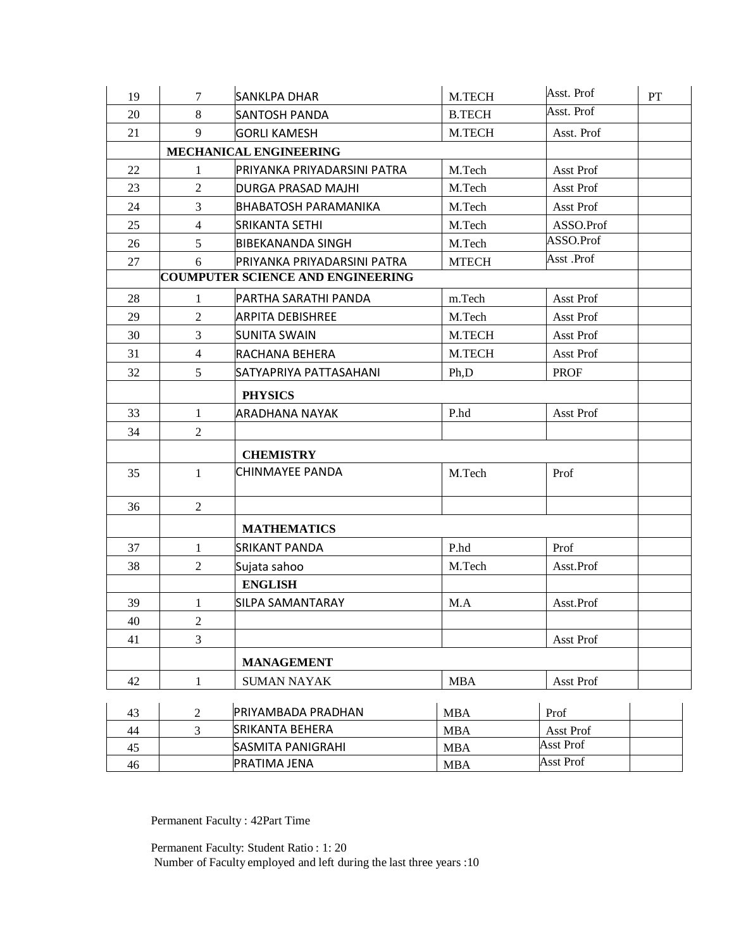| 19 | $\tau$         | <b>SANKLPA DHAR</b>                      | M.TECH        | Asst. Prof  | $\mathbf{PT}$ |
|----|----------------|------------------------------------------|---------------|-------------|---------------|
| 20 | 8              | SANTOSH PANDA                            | <b>B.TECH</b> | Asst. Prof  |               |
| 21 | 9              | <b>GORLI KAMESH</b>                      | M.TECH        | Asst. Prof  |               |
|    |                | MECHANICAL ENGINEERING                   |               |             |               |
| 22 | $\mathbf{1}$   | PRIYANKA PRIYADARSINI PATRA              | M.Tech        | Asst Prof   |               |
| 23 | $\overline{2}$ | <b>DURGA PRASAD MAJHI</b>                | M.Tech        | Asst Prof   |               |
| 24 | $\overline{3}$ | IBHABATOSH PARAMANIKA                    | M.Tech        | Asst Prof   |               |
| 25 | $\overline{4}$ | <b>SRIKANTA SETHI</b>                    | M.Tech        | ASSO.Prof   |               |
| 26 | 5              | <b>BIBEKANANDA SINGH</b>                 | M.Tech        | ASSO.Prof   |               |
| 27 | 6              | PRIYANKA PRIYADARSINI PATRA              | <b>MTECH</b>  | Asst .Prof  |               |
|    |                | <b>COUMPUTER SCIENCE AND ENGINEERING</b> |               |             |               |
| 28 | $\mathbf{1}$   | PARTHA SARATHI PANDA                     | m.Tech        | Asst Prof   |               |
| 29 | $\overline{2}$ | ARPITA DEBISHREE                         | M.Tech        | Asst Prof   |               |
| 30 | $\overline{3}$ | <b>SUNITA SWAIN</b>                      | M.TECH        | Asst Prof   |               |
| 31 | $\overline{4}$ | RACHANA BEHERA                           | M.TECH        | Asst Prof   |               |
| 32 | 5              | SATYAPRIYA PATTASAHANI                   | Ph,D          | <b>PROF</b> |               |
|    |                | <b>PHYSICS</b>                           |               |             |               |
| 33 | $\mathbf{1}$   | ARADHANA NAYAK                           | P.hd          | Asst Prof   |               |
| 34 | $\overline{2}$ |                                          |               |             |               |
|    |                | <b>CHEMISTRY</b>                         |               |             |               |
| 35 | $\mathbf{1}$   | CHINMAYEE PANDA                          | M.Tech        | Prof        |               |
|    |                |                                          |               |             |               |
| 36 | $\overline{2}$ |                                          |               |             |               |
|    |                | <b>MATHEMATICS</b>                       |               |             |               |
| 37 | $\mathbf{1}$   | SRIKANT PANDA                            | P.hd          | Prof        |               |
| 38 | $\overline{2}$ | Sujata sahoo                             | M.Tech        | Asst.Prof   |               |
|    |                | <b>ENGLISH</b>                           |               |             |               |
| 39 | $\mathbf{1}$   | SILPA SAMANTARAY                         | M.A           | Asst.Prof   |               |
| 40 | $\sqrt{2}$     |                                          |               |             |               |
| 41 | $\overline{3}$ |                                          |               | Asst Prof   |               |
|    |                | <b>MANAGEMENT</b>                        |               |             |               |
| 42 | $\mathbf{1}$   | <b>SUMAN NAYAK</b>                       | <b>MBA</b>    | Asst Prof   |               |
|    |                |                                          |               |             |               |
| 43 | $\overline{2}$ | PRIYAMBADA PRADHAN                       | <b>MBA</b>    | Prof        |               |
| 44 | $\overline{3}$ | <b>SRIKANTA BEHERA</b>                   | <b>MBA</b>    | Asst Prof   |               |
| 45 |                | SASMITA PANIGRAHI                        | <b>MBA</b>    | Asst Prof   |               |
| 46 |                | PRATIMA JENA                             | <b>MBA</b>    | Asst Prof   |               |

Permanent Faculty : 42Part Time

Permanent Faculty: Student Ratio : 1: 20 Number of Faculty employed and left during the last three years :10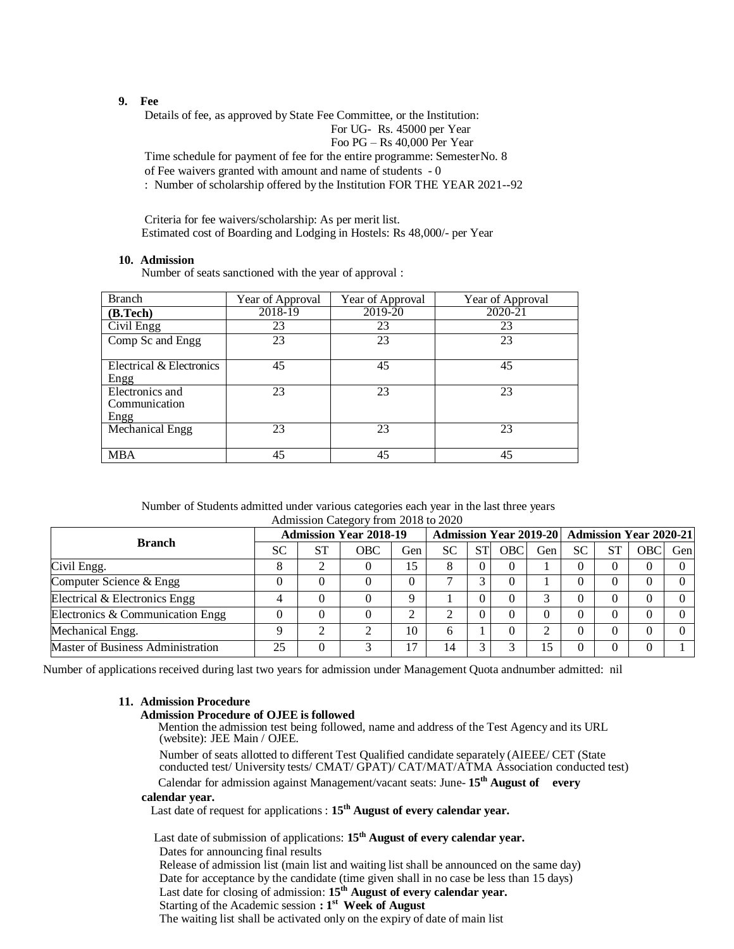#### **9. Fee**

Details of fee, as approved by State Fee Committee, or the Institution:

For UG- Rs. 45000 per Year

Foo PG – Rs 40,000 Per Year

Time schedule for payment of fee for the entire programme: SemesterNo. 8 of Fee waivers granted with amount and name of students - 0 : Number of scholarship offered by the Institution FOR THE YEAR 2021--92

Criteria for fee waivers/scholarship: As per merit list. Estimated cost of Boarding and Lodging in Hostels: Rs 48,000/- per Year

### **10. Admission**

Number of seats sanctioned with the year of approval :

| <b>Branch</b>            | Year of Approval | Year of Approval | Year of Approval |
|--------------------------|------------------|------------------|------------------|
| (B.Tech)                 | 2018-19          | 2019-20          | 2020-21          |
| Civil Engg               | 23               | 23               | 23               |
| Comp Sc and Engg         | 23               | 23               | 23               |
|                          |                  |                  |                  |
| Electrical & Electronics | 45               | 45               | 45               |
| Engg                     |                  |                  |                  |
| Electronics and          | 23               | 23               | 23               |
| Communication            |                  |                  |                  |
| Engg                     |                  |                  |                  |
| Mechanical Engg          | 23               | 23               | 23               |
|                          |                  |                  |                  |
| <b>MBA</b>               | 45               | 45               | 45               |

| Number of Students admitted under various categories each year in the last three years |
|----------------------------------------------------------------------------------------|
| Admission Category from 2018 to 2020                                                   |

|                                   | <b>Admission Year 2018-19</b> |           |     |     |           |           | Admission Year 2019-20   Admission Year 2020-21 |     |           |  |     |     |
|-----------------------------------|-------------------------------|-----------|-----|-----|-----------|-----------|-------------------------------------------------|-----|-----------|--|-----|-----|
| <b>Branch</b>                     | <b>SC</b>                     | <b>ST</b> | OBC | Gen | <b>SC</b> | <b>ST</b> | <b>OBC</b>                                      | Gen | <b>SC</b> |  | OBC | Gen |
| Civil Engg.                       |                               | ◠         |     | 15  | 8         |           | $\theta$                                        |     |           |  |     |     |
| Computer Science & Engg           |                               | 0         |     | 0   |           |           | $\theta$                                        |     |           |  |     |     |
| Electrical & Electronics Engg     |                               | $\theta$  |     | Q   |           |           | 0                                               |     |           |  |     |     |
| Electronics & Communication Engg  |                               | 0         |     | ◠   |           | 0         | $\theta$                                        | 0   |           |  |     |     |
| Mechanical Engg.                  |                               | ◠         |     | 10  | 6         |           | 0                                               |     |           |  |     |     |
| Master of Business Administration | 25                            | 0         |     | 17  | 14        |           |                                                 | 5   |           |  |     |     |

Number of applications received during last two years for admission under Management Quota andnumber admitted: nil

# **11. Admission Procedure**

#### **Admission Procedure of OJEE is followed**

Mention the admission test being followed, name and address of the Test Agency and its URL (website): JEE Main / OJEE.

Number of seats allotted to different Test Qualified candidate separately (AIEEE/ CET (State conducted test/ University tests/ CMAT/ GPAT)/ CAT/MAT/ATMA Association conducted test)

Calendar for admission against Management/vacant seats: June- **15th August of every**

# **calendar year.**

Last date of request for applications : **15th August of every calendar year.**

Last date of submission of applications: **15th August of every calendar year.** Dates for announcing final results Release of admission list (main list and waiting list shall be announced on the same day)

Date for acceptance by the candidate (time given shall in no case be less than 15 days) Last date for closing of admission: **15th August of every calendar year.** Starting of the Academic session **: 1 st Week of August**

The waiting list shall be activated only on the expiry of date of main list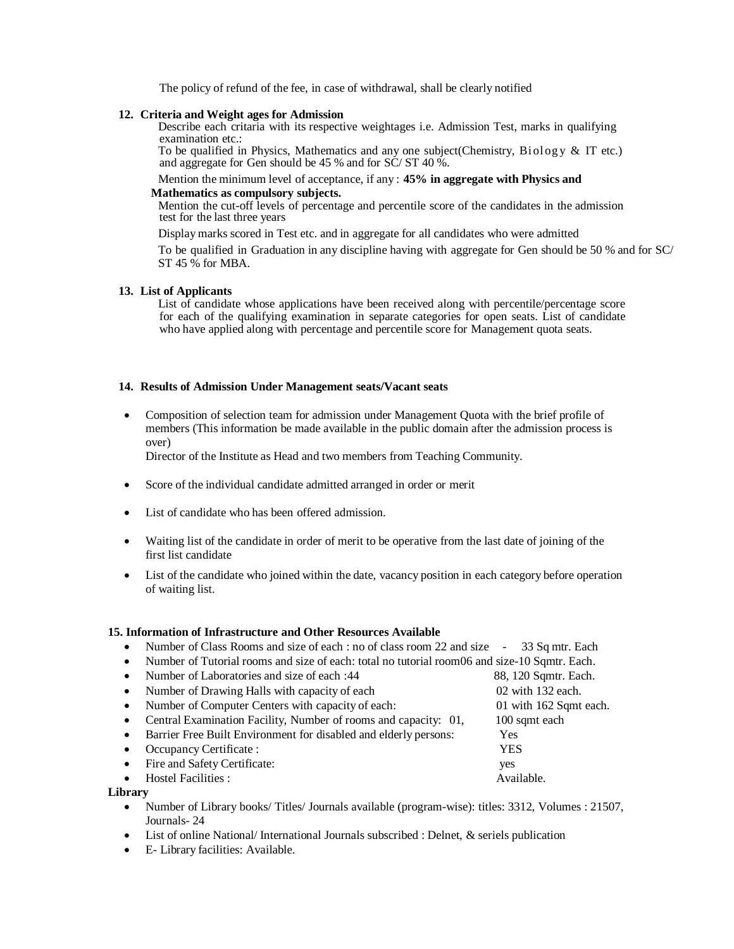The policy of refund of the fee, in case of withdrawal, shall be clearly notified

#### **12. Criteria and Weight ages for Admission**

Describe each critaria with its respective weightages i.e. Admission Test, marks in qualifying examination etc.:

To be qualified in Physics, Mathematics and any one subject(Chemistry, Biology & IT etc.) and aggregate for Gen should be 45 % and for SC/ ST 40 %.

#### Mention the minimum level of acceptance, if any : **45% in aggregate with Physics and**

#### **Mathematics as compulsory subjects.**

Mention the cut-off levels of percentage and percentile score of the candidates in the admission test for the last three years

Display marks scored in Test etc. and in aggregate for all candidates who were admitted

To be qualified in Graduation in any discipline having with aggregate for Gen should be 50 % and for SC/ ST 45 % for MBA.

#### **13. List of Applicants**

List of candidate whose applications have been received along with percentile/percentage score for each of the qualifying examination in separate categories for open seats. List of candidate who have applied along with percentage and percentile score for Management quota seats.

#### **14. Results of Admission Under Management seats/Vacant seats**

 Composition of selection team for admission under Management Quota with the brief profile of members (This information be made available in the public domain after the admission process is over)

Director of the Institute as Head and two members from Teaching Community.

- Score of the individual candidate admitted arranged in order or merit
- List of candidate who has been offered admission.
- Waiting list of the candidate in order of merit to be operative from the last date of joining of the first list candidate
- List of the candidate who joined within the date, vacancy position in each category before operation of waiting list.

#### **15. Information of Infrastructure and Other Resources Available**

- Number of Class Rooms and size of each : no of class room 22 and size 33 Sq mtr. Each
- Number of Tutorial rooms and size of each: total no tutorial room06 and size-10 Sqmtr. Each.
- Number of Laboratories and size of each :44 88, 120 Sqmtr. Each. Number of Drawing Halls with capacity of each 02 with 132 each. Number of Computer Centers with capacity of each: 01 with 162 Sqmt each. Central Examination Facility, Number of rooms and capacity: 01, 100 sqmt each Barrier Free Built Environment for disabled and elderly persons: Yes Occupancy Certificate : YES Fire and Safety Certificate: yes Hostel Facilities : Available.
- **Library**
	- Number of Library books/ Titles/ Journals available (program-wise): titles: 3312, Volumes : 21507, Journals- 24
	- List of online National/ International Journals subscribed : Delnet, & seriels publication
	- E- Library facilities: Available.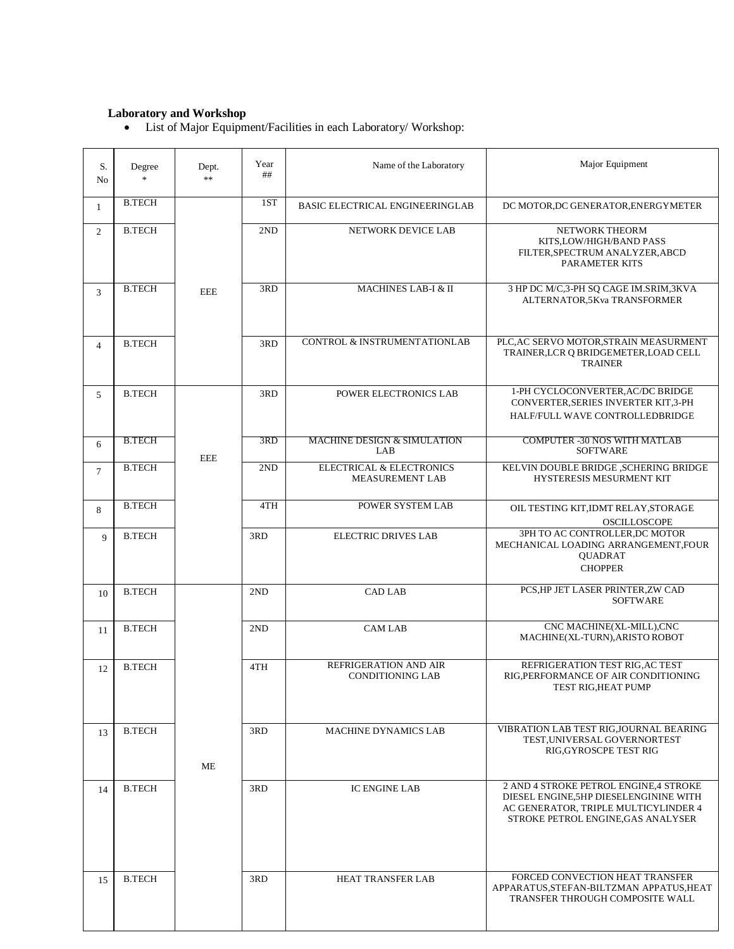### **Laboratory and Workshop**

List of Major Equipment/Facilities in each Laboratory/ Workshop:

| S.<br>No       | Degree<br>$\frac{1}{2}$ | Dept.<br>$**$ | Year<br>## | Name of the Laboratory                             | Major Equipment                                                                                                                                               |
|----------------|-------------------------|---------------|------------|----------------------------------------------------|---------------------------------------------------------------------------------------------------------------------------------------------------------------|
| $\mathbf{1}$   | <b>B.TECH</b>           |               | 1ST        | BASIC ELECTRICAL ENGINEERINGLAB                    | DC MOTOR, DC GENERATOR, ENERGYMETER                                                                                                                           |
| $\overline{2}$ | <b>B.TECH</b>           |               | 2ND        | NETWORK DEVICE LAB                                 | NETWORK THEORM<br>KITS, LOW/HIGH/BAND PASS<br>FILTER, SPECTRUM ANALYZER, ABCD<br><b>PARAMETER KITS</b>                                                        |
| 3              | <b>B.TECH</b>           | <b>EEE</b>    | 3RD        | <b>MACHINES LAB-I &amp; II</b>                     | 3 HP DC M/C,3-PH SQ CAGE IM.SRIM,3KVA<br>ALTERNATOR,5Kva TRANSFORMER                                                                                          |
| $\overline{4}$ | <b>B.TECH</b>           |               | 3RD        | CONTROL & INSTRUMENTATIONLAB                       | PLC, AC SERVO MOTOR, STRAIN MEASURMENT<br>TRAINER, LCR Q BRIDGEMETER, LOAD CELL<br><b>TRAINER</b>                                                             |
| 5              | <b>B.TECH</b>           |               | 3RD        | POWER ELECTRONICS LAB                              | 1-PH CYCLOCONVERTER, AC/DC BRIDGE<br>CONVERTER, SERIES INVERTER KIT, 3-PH<br>HALF/FULL WAVE CONTROLLEDBRIDGE                                                  |
| 6              | <b>B.TECH</b>           | <b>EEE</b>    | 3RD        | <b>MACHINE DESIGN &amp; SIMULATION</b><br>LAB      | <b>COMPUTER -30 NOS WITH MATLAB</b><br><b>SOFTWARE</b>                                                                                                        |
| $\tau$         | <b>B.TECH</b>           |               | 2ND        | ELECTRICAL & ELECTRONICS<br><b>MEASUREMENT LAB</b> | KELVIN DOUBLE BRIDGE ,SCHERING BRIDGE<br>HYSTERESIS MESURMENT KIT                                                                                             |
| 8              | <b>B.TECH</b>           |               | 4TH        | POWER SYSTEM LAB                                   | OIL TESTING KIT, IDMT RELAY, STORAGE<br>OSCILLOSCOPE                                                                                                          |
| 9              | <b>B.TECH</b>           |               | 3RD        | <b>ELECTRIC DRIVES LAB</b>                         | 3PH TO AC CONTROLLER, DC MOTOR<br>MECHANICAL LOADING ARRANGEMENT, FOUR<br>QUADRAT<br><b>CHOPPER</b>                                                           |
| 10             | <b>B.TECH</b>           |               | 2ND        | <b>CAD LAB</b>                                     | PCS, HP JET LASER PRINTER, ZW CAD<br><b>SOFTWARE</b>                                                                                                          |
| 11             | <b>B.TECH</b>           |               | 2ND        | <b>CAM LAB</b>                                     | CNC MACHINE(XL-MILL), CNC<br>MACHINE(XL-TURN), ARISTO ROBOT                                                                                                   |
| 12             | <b>B.TECH</b>           |               | 4TH        | REFRIGERATION AND AIR<br><b>CONDITIONING LAB</b>   | REFRIGERATION TEST RIG, AC TEST<br>RIG, PERFORMANCE OF AIR CONDITIONING<br>TEST RIG,HEAT PUMP                                                                 |
| 13             | <b>B.TECH</b>           | МE            | 3RD        | <b>MACHINE DYNAMICS LAB</b>                        | VIBRATION LAB TEST RIGJOURNAL BEARING<br>TEST, UNIVERSAL GOVERNORTEST<br>RIG, GYROSCPE TEST RIG                                                               |
| 14             | <b>B.TECH</b>           |               | 3RD        | <b>IC ENGINE LAB</b>                               | 2 AND 4 STROKE PETROL ENGINE,4 STROKE<br>DIESEL ENGINE, 5HP DIESELENGININE WITH<br>AC GENERATOR, TRIPLE MULTICYLINDER 4<br>STROKE PETROL ENGINE, GAS ANALYSER |
| 15             | <b>B.TECH</b>           |               | 3RD        | HEAT TRANSFER LAB                                  | FORCED CONVECTION HEAT TRANSFER<br>APPARATUS, STEFAN-BILTZMAN APPATUS, HEAT<br>TRANSFER THROUGH COMPOSITE WALL                                                |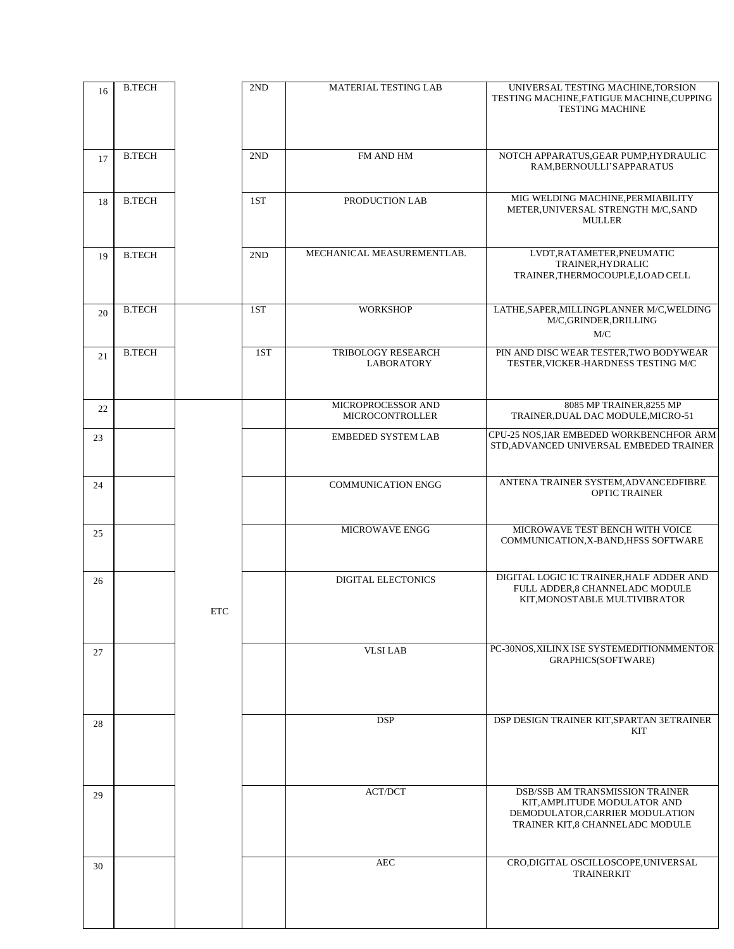| 16 | <b>B.TECH</b> |     | 2ND | MATERIAL TESTING LAB                         | UNIVERSAL TESTING MACHINE, TORSION<br>TESTING MACHINE, FATIGUE MACHINE, CUPPING<br><b>TESTING MACHINE</b>                                    |
|----|---------------|-----|-----|----------------------------------------------|----------------------------------------------------------------------------------------------------------------------------------------------|
| 17 | <b>B.TECH</b> |     | 2ND | FM AND HM                                    | NOTCH APPARATUS, GEAR PUMP, HYDRAULIC<br>RAM, BERNOULLI'S APPARATUS                                                                          |
| 18 | <b>B.TECH</b> |     | 1ST | PRODUCTION LAB                               | MIG WELDING MACHINE.PERMIABILITY<br>METER, UNIVERSAL STRENGTH M/C, SAND<br><b>MULLER</b>                                                     |
| 19 | <b>B.TECH</b> |     | 2ND | MECHANICAL MEASUREMENTLAB.                   | LVDT, RATAMETER, PNEUMATIC<br>TRAINER, HYDRALIC<br>TRAINER, THERMOCOUPLE, LOAD CELL                                                          |
| 20 | <b>B.TECH</b> |     | 1ST | <b>WORKSHOP</b>                              | LATHE, SAPER, MILLINGPLANNER M/C, WELDING<br>M/C, GRINDER, DRILLING<br>M/C                                                                   |
| 21 | <b>B.TECH</b> |     | 1ST | TRIBOLOGY RESEARCH<br><b>LABORATORY</b>      | PIN AND DISC WEAR TESTER, TWO BODYWEAR<br>TESTER, VICKER-HARDNESS TESTING M/C                                                                |
| 22 |               |     |     | MICROPROCESSOR AND<br><b>MICROCONTROLLER</b> | 8085 MP TRAINER, 8255 MP<br>TRAINER, DUAL DAC MODULE, MICRO-51                                                                               |
| 23 |               |     |     | <b>EMBEDED SYSTEM LAB</b>                    | CPU-25 NOS, IAR EMBEDED WORKBENCHFOR ARM<br>STD, ADVANCED UNIVERSAL EMBEDED TRAINER                                                          |
| 24 |               |     |     | <b>COMMUNICATION ENGG</b>                    | ANTENA TRAINER SYSTEM, ADVANCEDFIBRE<br><b>OPTIC TRAINER</b>                                                                                 |
| 25 |               |     |     | <b>MICROWAVE ENGG</b>                        | MICROWAVE TEST BENCH WITH VOICE<br>COMMUNICATION, X-BAND, HFSS SOFTWARE                                                                      |
| 26 |               | ETC |     | DIGITAL ELECTONICS                           | DIGITAL LOGIC IC TRAINER, HALF ADDER AND<br>FULL ADDER,8 CHANNELADC MODULE<br>KIT, MONOST ABLE MULTIVIBRATOR                                 |
| 27 |               |     |     | <b>VLSI LAB</b>                              | PC-30NOS, XILINX ISE SYSTEMEDITIONMMENTOR<br>GRAPHICS(SOFTWARE)                                                                              |
| 28 |               |     |     | <b>DSP</b>                                   | DSP DESIGN TRAINER KIT, SPARTAN 3ETRAINER<br>KIT                                                                                             |
| 29 |               |     |     | <b>ACT/DCT</b>                               | <b>DSB/SSB AM TRANSMISSION TRAINER</b><br>KIT, AMPLITUDE MODULATOR AND<br>DEMODULATOR, CARRIER MODULATION<br>TRAINER KIT,8 CHANNELADC MODULE |
| 30 |               |     |     | <b>AEC</b>                                   | CRO,DIGITAL OSCILLOSCOPE,UNIVERSAL<br><b>TRAINERKIT</b>                                                                                      |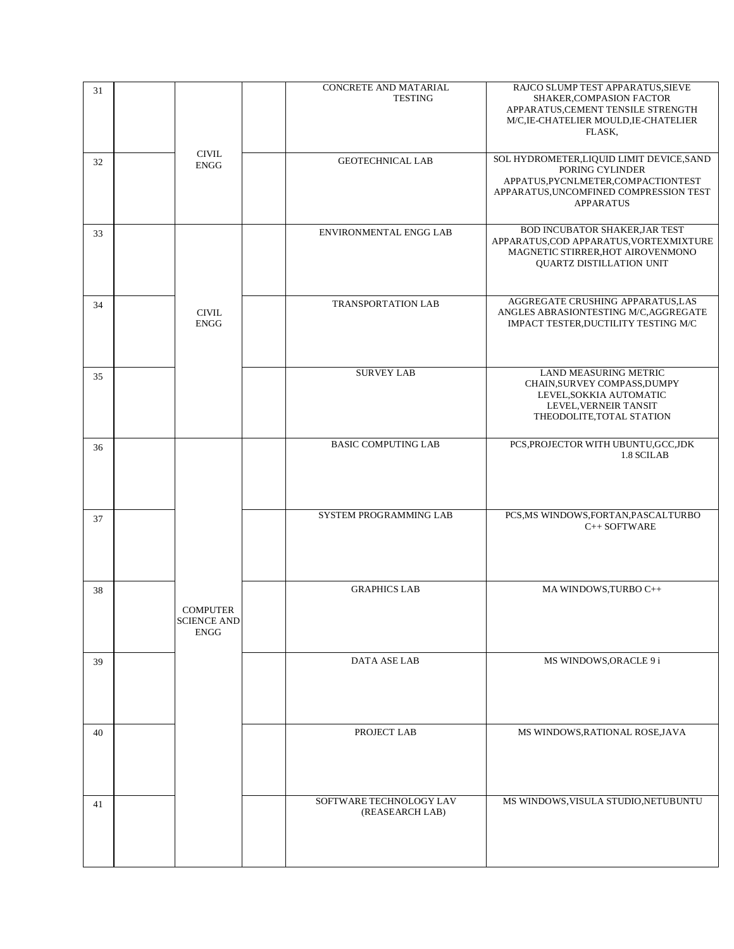| 31 |                                                      | CONCRETE AND MATARIAL<br><b>TESTING</b>    | RAJCO SLUMP TEST APPARATUS, SIEVE<br>SHAKER, COMPASION FACTOR<br>APPARATUS, CEMENT TENSILE STRENGTH<br>M/C, IE-CHATELIER MOULD, IE-CHATELIER<br>FLASK,            |
|----|------------------------------------------------------|--------------------------------------------|-------------------------------------------------------------------------------------------------------------------------------------------------------------------|
| 32 | <b>CIVIL</b><br><b>ENGG</b>                          | <b>GEOTECHNICAL LAB</b>                    | SOL HYDROMETER, LIQUID LIMIT DEVICE, SAND<br>PORING CYLINDER<br>APPATUS, PYCNLMETER, COMPACTIONTEST<br>APPARATUS, UNCOMFINED COMPRESSION TEST<br><b>APPARATUS</b> |
| 33 |                                                      | ENVIRONMENTAL ENGG LAB                     | BOD INCUBATOR SHAKER, JAR TEST<br>APPARATUS, COD APPARATUS, VORTEXMIXTURE<br>MAGNETIC STIRRER, HOT AIROVENMONO<br><b>QUARTZ DISTILLATION UNIT</b>                 |
| 34 | <b>CIVIL</b><br><b>ENGG</b>                          | TRANSPORTATION LAB                         | AGGREGATE CRUSHING APPARATUS,LAS<br>ANGLES ABRASIONTESTING M/C, AGGREGATE<br>IMPACT TESTER, DUCTILITY TESTING M/C                                                 |
| 35 |                                                      | <b>SURVEY LAB</b>                          | LAND MEASURING METRIC<br>CHAIN, SURVEY COMPASS, DUMPY<br>LEVEL, SOKKIA AUTOMATIC<br>LEVEL, VERNEIR TANSIT<br>THEODOLITE, TOTAL STATION                            |
| 36 |                                                      | <b>BASIC COMPUTING LAB</b>                 | PCS, PROJECTOR WITH UBUNTU, GCC, JDK<br>1.8 SCILAB                                                                                                                |
| 37 |                                                      | SYSTEM PROGRAMMING LAB                     | PCS, MS WINDOWS, FORTAN, PASCALTURBO<br>C++ SOFTWARE                                                                                                              |
| 38 | <b>COMPUTER</b><br><b>SCIENCE AND</b><br><b>ENGG</b> | <b>GRAPHICS LAB</b>                        | MA WINDOWS, TURBO C++                                                                                                                                             |
| 39 |                                                      | DATA ASE LAB                               | MS WINDOWS, ORACLE 9 i                                                                                                                                            |
| 40 |                                                      | PROJECT LAB                                | MS WINDOWS, RATIONAL ROSE, JAVA                                                                                                                                   |
| 41 |                                                      | SOFTWARE TECHNOLOGY LAV<br>(REASEARCH LAB) | MS WINDOWS, VISULA STUDIO, NETUBUNTU                                                                                                                              |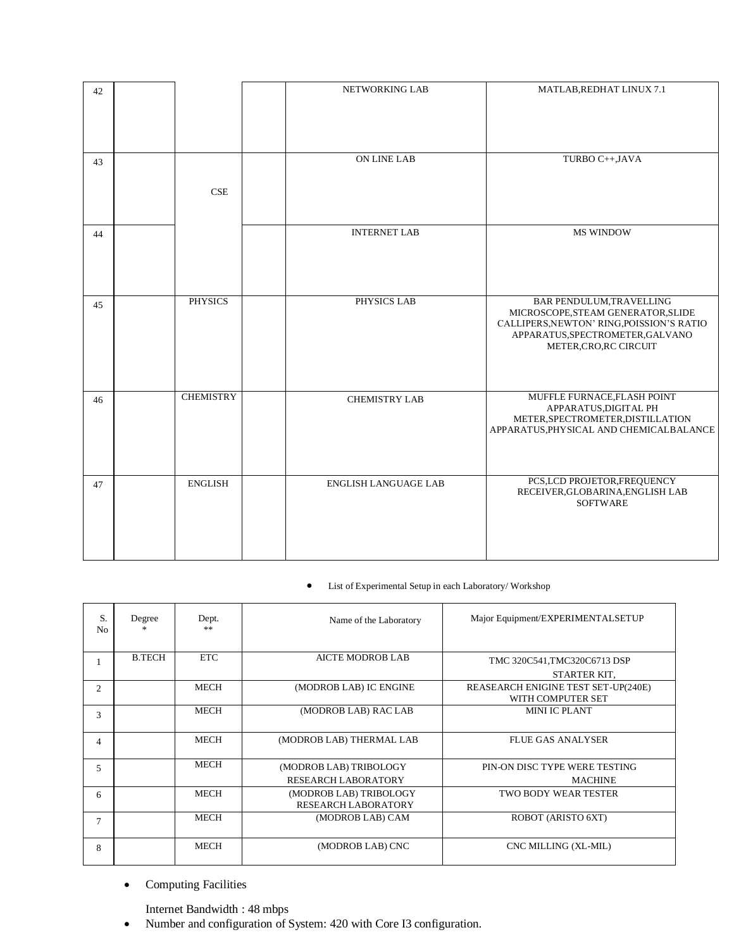| 42 |                  | NETWORKING LAB              | MATLAB, REDHAT LINUX 7.1                                                                                                                                                         |
|----|------------------|-----------------------------|----------------------------------------------------------------------------------------------------------------------------------------------------------------------------------|
|    |                  |                             |                                                                                                                                                                                  |
| 43 |                  | <b>ON LINE LAB</b>          | TURBO C++, JAVA                                                                                                                                                                  |
|    | CSE              |                             |                                                                                                                                                                                  |
| 44 |                  | <b>INTERNET LAB</b>         | <b>MS WINDOW</b>                                                                                                                                                                 |
| 45 | <b>PHYSICS</b>   | PHYSICS LAB                 | <b>BAR PENDULUM, TRAVELLING</b><br>MICROSCOPE, STEAM GENERATOR, SLIDE<br>CALLIPERS, NEWTON' RING, POISSION'S RATIO<br>APPARATUS, SPECTROMETER, GALVANO<br>METER, CRO, RC CIRCUIT |
| 46 | <b>CHEMISTRY</b> | <b>CHEMISTRY LAB</b>        | MUFFLE FURNACE, FLASH POINT<br>APPARATUS, DIGITAL PH<br>METER, SPECTROMETER, DISTILLATION<br>APPARATUS, PHYSICAL AND CHEMICALBALANCE                                             |
| 47 | <b>ENGLISH</b>   | <b>ENGLISH LANGUAGE LAB</b> | PCS,LCD PROJETOR, FREQUENCY<br>RECEIVER, GLOBARINA, ENGLISH LAB<br><b>SOFTWARE</b>                                                                                               |

# List of Experimental Setup in each Laboratory/ Workshop

| S.<br>N <sub>0</sub> | Degree        | Dept.<br>$\gg$ | Name of the Laboratory     | Major Equipment/EXPERIMENTALSETUP   |
|----------------------|---------------|----------------|----------------------------|-------------------------------------|
|                      | <b>B.TECH</b> | <b>ETC</b>     | <b>AICTE MODROB LAB</b>    | TMC 320C541, TMC320C6713 DSP        |
|                      |               |                |                            | STARTER KIT,                        |
| $\overline{c}$       |               | MECH           | (MODROB LAB) IC ENGINE     | REASEARCH ENIGINE TEST SET-UP(240E) |
|                      |               |                |                            | WITH COMPUTER SET                   |
| 3                    |               | MECH           | (MODROB LAB) RAC LAB       | <b>MINI IC PLANT</b>                |
| 4                    |               | MECH           | (MODROB LAB) THERMAL LAB   | <b>FLUE GAS ANALYSER</b>            |
| 5                    |               | <b>MECH</b>    | (MODROB LAB) TRIBOLOGY     | PIN-ON DISC TYPE WERE TESTING       |
|                      |               |                | <b>RESEARCH LABORATORY</b> | <b>MACHINE</b>                      |
| 6                    |               | MECH           | (MODROB LAB) TRIBOLOGY     | <b>TWO BODY WEAR TESTER</b>         |
|                      |               |                | <b>RESEARCH LABORATORY</b> |                                     |
| 7                    |               | <b>MECH</b>    | (MODROB LAB) CAM           | ROBOT (ARISTO 6XT)                  |
| 8                    |               | MECH           | (MODROB LAB) CNC           | CNC MILLING (XL-MIL)                |

**•** Computing Facilities

Internet Bandwidth : 48 mbps

Number and configuration of System: 420 with Core I3 configuration.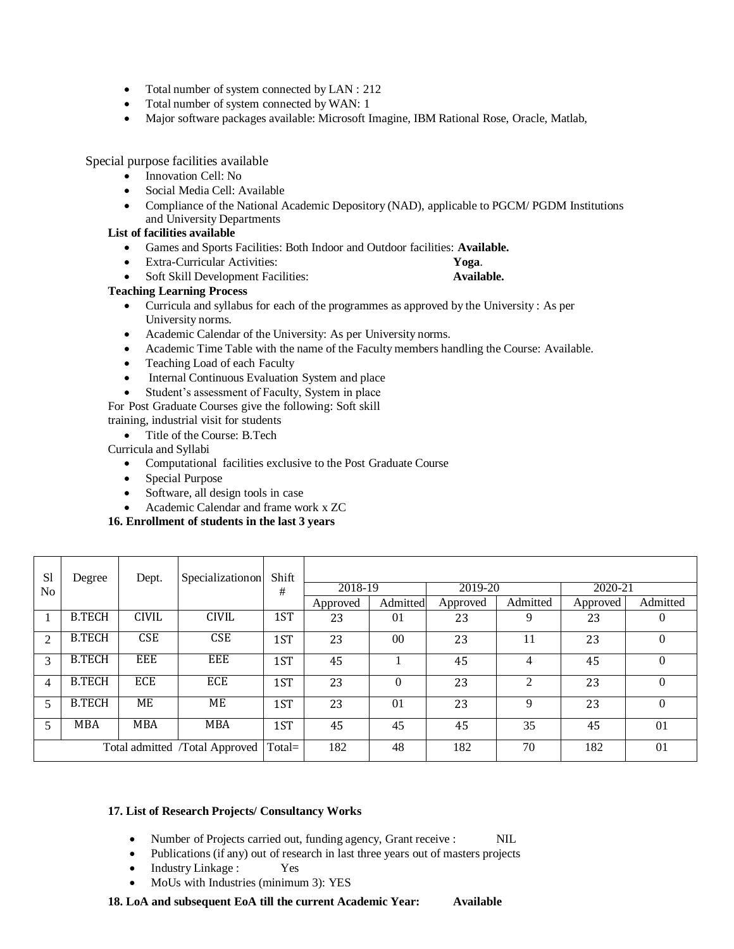- Total number of system connected by LAN : 212
- Total number of system connected by WAN: 1
- Major software packages available: Microsoft Imagine, IBM Rational Rose, Oracle, Matlab,

Special purpose facilities available

- Innovation Cell: No
- Social Media Cell: Available
- Compliance of the National Academic Depository (NAD), applicable to PGCM/ PGDM Institutions and University Departments

# **List of facilities available**

- Games and Sports Facilities: Both Indoor and Outdoor facilities: **Available.**
- Extra-Curricular Activities: **Yoga**.
- Soft Skill Development Facilities: **Available.**

# **Teaching Learning Process**

- Curricula and syllabus for each of the programmes as approved by the University : As per University norms.
- Academic Calendar of the University: As per University norms.
- Academic Time Table with the name of the Faculty members handling the Course: Available.
- Teaching Load of each Faculty
- Internal Continuous Evaluation System and place
- Student's assessment of Faculty, System in place

For Post Graduate Courses give the following: Soft skill training, industrial visit for students

• Title of the Course: B.Tech

Curricula and Syllabi

- Computational facilities exclusive to the Post Graduate Course
- Special Purpose
- Software, all design tools in case
- Academic Calendar and frame work x ZC

**16. Enrollment of students in the last 3 years**

| <sub>S1</sub>  | Degree        | Dept.        | Specialization on              | Shift     |          |                 |          |          |          |          |
|----------------|---------------|--------------|--------------------------------|-----------|----------|-----------------|----------|----------|----------|----------|
| N <sub>0</sub> |               |              |                                | #         | 2018-19  |                 | 2019-20  |          | 2020-21  |          |
|                |               |              |                                |           | Approved | Admitted        | Approved | Admitted | Approved | Admitted |
|                | <b>B.TECH</b> | <b>CIVIL</b> | <b>CIVIL</b>                   | 1ST       | 23       | 0 <sub>1</sub>  | 23       | 9        | 23       | $\theta$ |
| 2              | <b>B.TECH</b> | <b>CSE</b>   | <b>CSE</b>                     | 1ST       | 23       | 00 <sup>1</sup> | 23       | 11       | 23       | $\Omega$ |
| 3              | <b>B.TECH</b> | EEE          | EEE                            | 1ST       | 45       |                 | 45       | 4        | 45       | $\Omega$ |
| 4              | <b>B.TECH</b> | ECE          | ECE                            | 1ST       | 23       | $\Omega$        | 23       | 2        | 23       | $\Omega$ |
| 5              | <b>B.TECH</b> | ME           | ME                             | 1ST       | 23       | 01              | 23       | 9        | 23       | $\Omega$ |
| 5              | <b>MBA</b>    | <b>MBA</b>   | <b>MBA</b>                     | 1ST       | 45       | 45              | 45       | 35       | 45       | 01       |
|                |               |              | Total admitted /Total Approved | $Total =$ | 182      | 48              | 182      | 70       | 182      | 01       |

# **17. List of Research Projects/ Consultancy Works**

- Number of Projects carried out, funding agency, Grant receive : NIL
- Publications (if any) out of research in last three years out of masters projects
- Industry Linkage : Yes
- MoUs with Industries (minimum 3): YES

**18. LoA and subsequent EoA till the current Academic Year: Available**